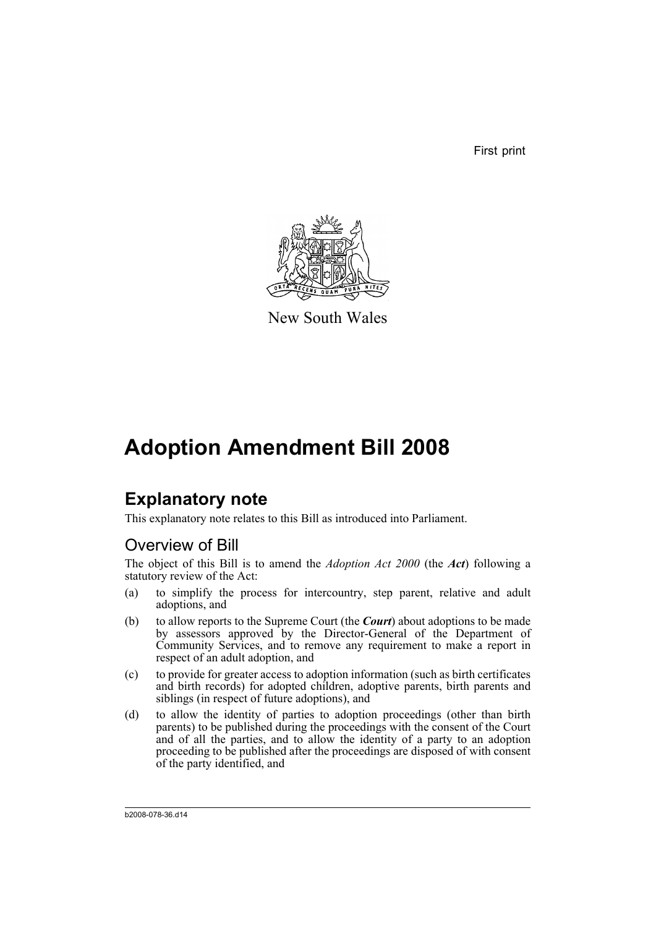First print



New South Wales

# **Adoption Amendment Bill 2008**

# **Explanatory note**

This explanatory note relates to this Bill as introduced into Parliament.

# Overview of Bill

The object of this Bill is to amend the *Adoption Act 2000* (the *Act*) following a statutory review of the Act:

- (a) to simplify the process for intercountry, step parent, relative and adult adoptions, and
- (b) to allow reports to the Supreme Court (the *Court*) about adoptions to be made by assessors approved by the Director-General of the Department of Community Services, and to remove any requirement to make a report in respect of an adult adoption, and
- (c) to provide for greater access to adoption information (such as birth certificates and birth records) for adopted children, adoptive parents, birth parents and siblings (in respect of future adoptions), and
- (d) to allow the identity of parties to adoption proceedings (other than birth parents) to be published during the proceedings with the consent of the Court and of all the parties, and to allow the identity of a party to an adoption proceeding to be published after the proceedings are disposed of with consent of the party identified, and

b2008-078-36.d14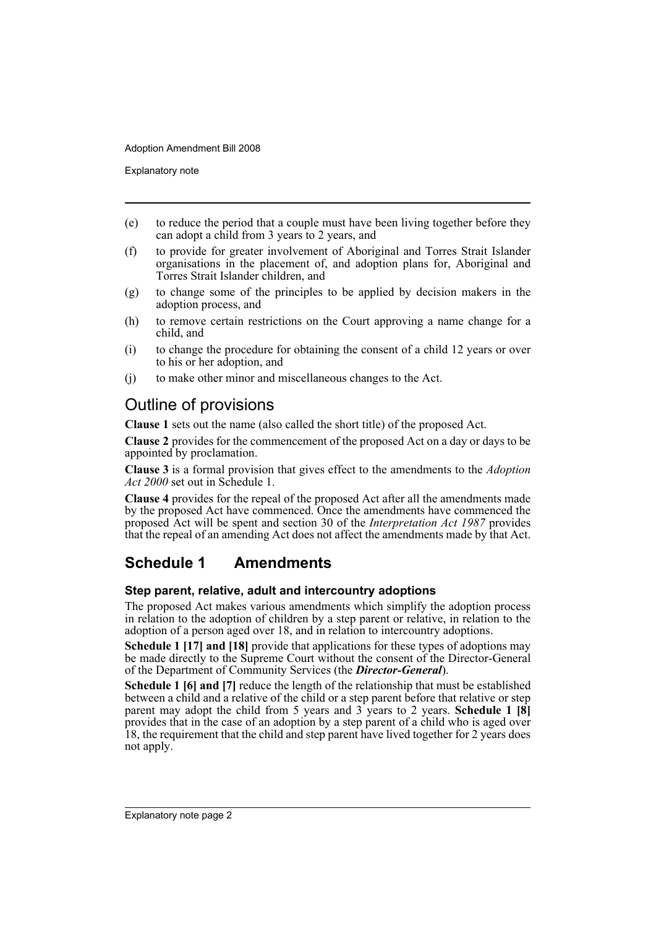Explanatory note

- (e) to reduce the period that a couple must have been living together before they can adopt a child from 3 years to 2 years, and
- (f) to provide for greater involvement of Aboriginal and Torres Strait Islander organisations in the placement of, and adoption plans for, Aboriginal and Torres Strait Islander children, and
- (g) to change some of the principles to be applied by decision makers in the adoption process, and
- (h) to remove certain restrictions on the Court approving a name change for a child, and
- (i) to change the procedure for obtaining the consent of a child 12 years or over to his or her adoption, and
- (j) to make other minor and miscellaneous changes to the Act.

# Outline of provisions

**Clause 1** sets out the name (also called the short title) of the proposed Act.

**Clause 2** provides for the commencement of the proposed Act on a day or days to be appointed by proclamation.

**Clause 3** is a formal provision that gives effect to the amendments to the *Adoption Act 2000* set out in Schedule 1.

**Clause 4** provides for the repeal of the proposed Act after all the amendments made by the proposed Act have commenced. Once the amendments have commenced the proposed Act will be spent and section 30 of the *Interpretation Act 1987* provides that the repeal of an amending Act does not affect the amendments made by that Act.

# **Schedule 1 Amendments**

## **Step parent, relative, adult and intercountry adoptions**

The proposed Act makes various amendments which simplify the adoption process in relation to the adoption of children by a step parent or relative, in relation to the adoption of a person aged over 18, and in relation to intercountry adoptions.

**Schedule 1 [17] and [18]** provide that applications for these types of adoptions may be made directly to the Supreme Court without the consent of the Director-General of the Department of Community Services (the *Director-General*).

**Schedule 1 [6] and [7]** reduce the length of the relationship that must be established between a child and a relative of the child or a step parent before that relative or step parent may adopt the child from 5 years and 3 years to 2 years. **Schedule 1 [8]** provides that in the case of an adoption by a step parent of a child who is aged over 18, the requirement that the child and step parent have lived together for 2 years does not apply.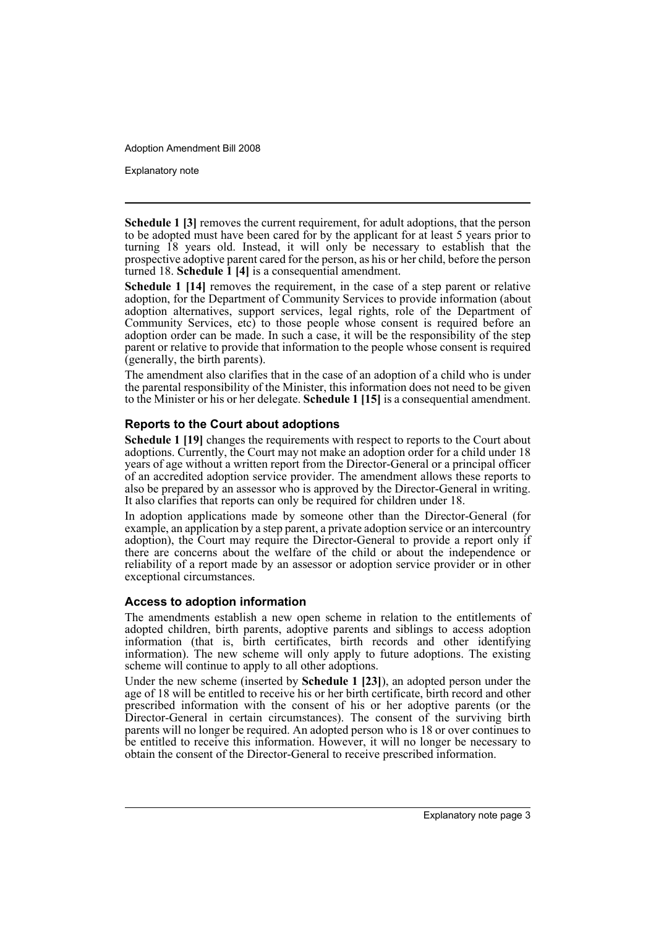Explanatory note

**Schedule 1 [3]** removes the current requirement, for adult adoptions, that the person to be adopted must have been cared for by the applicant for at least 5 years prior to turning 18 years old. Instead, it will only be necessary to establish that the prospective adoptive parent cared for the person, as his or her child, before the person turned 18. **Schedule 1 [4]** is a consequential amendment.

**Schedule 1 [14]** removes the requirement, in the case of a step parent or relative adoption, for the Department of Community Services to provide information (about adoption alternatives, support services, legal rights, role of the Department of Community Services, etc) to those people whose consent is required before an adoption order can be made. In such a case, it will be the responsibility of the step parent or relative to provide that information to the people whose consent is required (generally, the birth parents).

The amendment also clarifies that in the case of an adoption of a child who is under the parental responsibility of the Minister, this information does not need to be given to the Minister or his or her delegate. **Schedule 1 [15]** is a consequential amendment.

## **Reports to the Court about adoptions**

**Schedule 1 [19]** changes the requirements with respect to reports to the Court about adoptions. Currently, the Court may not make an adoption order for a child under 18 years of age without a written report from the Director-General or a principal officer of an accredited adoption service provider. The amendment allows these reports to also be prepared by an assessor who is approved by the Director-General in writing. It also clarifies that reports can only be required for children under 18.

In adoption applications made by someone other than the Director-General (for example, an application by a step parent, a private adoption service or an intercountry adoption), the Court may require the Director-General to provide a report only if there are concerns about the welfare of the child or about the independence or reliability of a report made by an assessor or adoption service provider or in other exceptional circumstances.

## **Access to adoption information**

The amendments establish a new open scheme in relation to the entitlements of adopted children, birth parents, adoptive parents and siblings to access adoption information (that is, birth certificates, birth records and other identifying information). The new scheme will only apply to future adoptions. The existing scheme will continue to apply to all other adoptions.

Under the new scheme (inserted by **Schedule 1 [23]**), an adopted person under the age of 18 will be entitled to receive his or her birth certificate, birth record and other prescribed information with the consent of his or her adoptive parents (or the Director-General in certain circumstances). The consent of the surviving birth parents will no longer be required. An adopted person who is 18 or over continues to be entitled to receive this information. However, it will no longer be necessary to obtain the consent of the Director-General to receive prescribed information.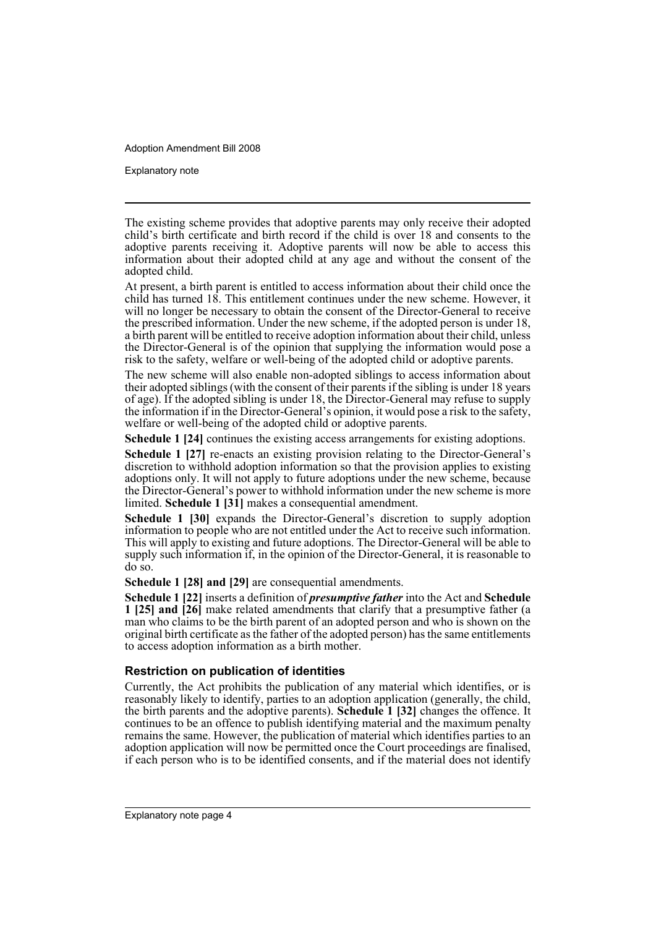Explanatory note

The existing scheme provides that adoptive parents may only receive their adopted child's birth certificate and birth record if the child is over 18 and consents to the adoptive parents receiving it. Adoptive parents will now be able to access this information about their adopted child at any age and without the consent of the adopted child.

At present, a birth parent is entitled to access information about their child once the child has turned 18. This entitlement continues under the new scheme. However, it will no longer be necessary to obtain the consent of the Director-General to receive the prescribed information. Under the new scheme, if the adopted person is under 18, a birth parent will be entitled to receive adoption information about their child, unless the Director-General is of the opinion that supplying the information would pose a risk to the safety, welfare or well-being of the adopted child or adoptive parents.

The new scheme will also enable non-adopted siblings to access information about their adopted siblings (with the consent of their parents if the sibling is under 18 years of age). If the adopted sibling is under 18, the Director-General may refuse to supply the information if in the Director-General's opinion, it would pose a risk to the safety, welfare or well-being of the adopted child or adoptive parents.

**Schedule 1 [24]** continues the existing access arrangements for existing adoptions.

**Schedule 1 [27]** re-enacts an existing provision relating to the Director-General's discretion to withhold adoption information so that the provision applies to existing adoptions only. It will not apply to future adoptions under the new scheme, because the Director-General's power to withhold information under the new scheme is more limited. **Schedule 1 [31]** makes a consequential amendment.

**Schedule 1 [30]** expands the Director-General's discretion to supply adoption information to people who are not entitled under the Act to receive such information. This will apply to existing and future adoptions. The Director-General will be able to supply such information if, in the opinion of the Director-General, it is reasonable to do so.

**Schedule 1 [28] and [29]** are consequential amendments.

**Schedule 1 [22]** inserts a definition of *presumptive father* into the Act and **Schedule 1 [25] and [26]** make related amendments that clarify that a presumptive father (a man who claims to be the birth parent of an adopted person and who is shown on the original birth certificate as the father of the adopted person) has the same entitlements to access adoption information as a birth mother.

## **Restriction on publication of identities**

Currently, the Act prohibits the publication of any material which identifies, or is reasonably likely to identify, parties to an adoption application (generally, the child, the birth parents and the adoptive parents). **Schedule 1 [32]** changes the offence. It continues to be an offence to publish identifying material and the maximum penalty remains the same. However, the publication of material which identifies parties to an adoption application will now be permitted once the Court proceedings are finalised, if each person who is to be identified consents, and if the material does not identify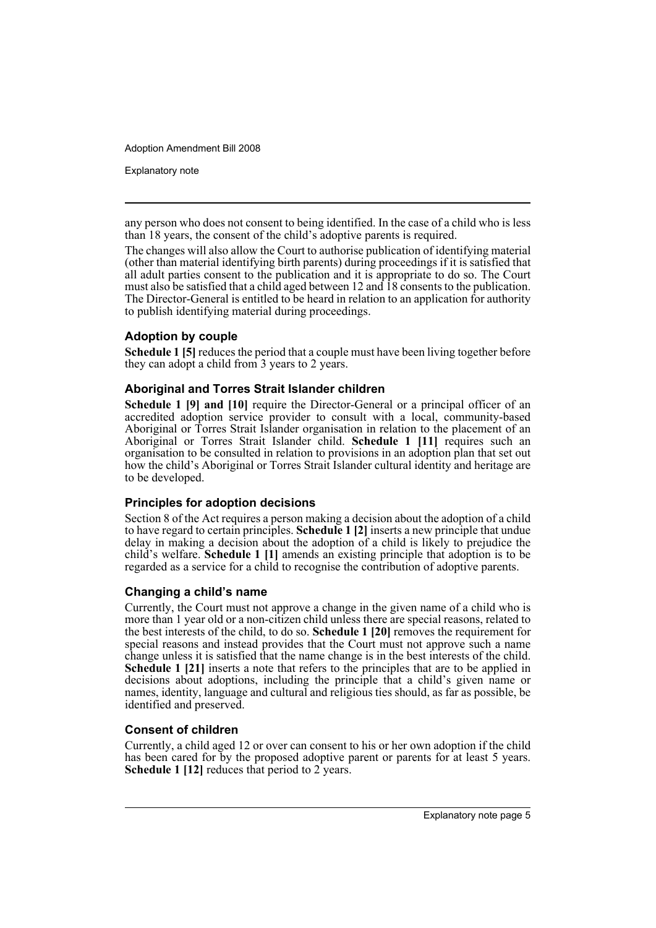Explanatory note

any person who does not consent to being identified. In the case of a child who is less than 18 years, the consent of the child's adoptive parents is required.

The changes will also allow the Court to authorise publication of identifying material (other than material identifying birth parents) during proceedings if it is satisfied that all adult parties consent to the publication and it is appropriate to do so. The Court must also be satisfied that a child aged between 12 and 18 consents to the publication. The Director-General is entitled to be heard in relation to an application for authority to publish identifying material during proceedings.

## **Adoption by couple**

**Schedule 1 [5]** reduces the period that a couple must have been living together before they can adopt a child from 3 years to 2 years.

## **Aboriginal and Torres Strait Islander children**

**Schedule 1 [9] and [10]** require the Director-General or a principal officer of an accredited adoption service provider to consult with a local, community-based Aboriginal or Torres Strait Islander organisation in relation to the placement of an Aboriginal or Torres Strait Islander child. **Schedule 1 [11]** requires such an organisation to be consulted in relation to provisions in an adoption plan that set out how the child's Aboriginal or Torres Strait Islander cultural identity and heritage are to be developed.

## **Principles for adoption decisions**

Section 8 of the Act requires a person making a decision about the adoption of a child to have regard to certain principles. **Schedule 1 [2]** inserts a new principle that undue delay in making a decision about the adoption of a child is likely to prejudice the child's welfare. **Schedule 1 [1]** amends an existing principle that adoption is to be regarded as a service for a child to recognise the contribution of adoptive parents.

## **Changing a child's name**

Currently, the Court must not approve a change in the given name of a child who is more than 1 year old or a non-citizen child unless there are special reasons, related to the best interests of the child, to do so. **Schedule 1 [20]** removes the requirement for special reasons and instead provides that the Court must not approve such a name change unless it is satisfied that the name change is in the best interests of the child. **Schedule 1 [21]** inserts a note that refers to the principles that are to be applied in decisions about adoptions, including the principle that a child's given name or names, identity, language and cultural and religious ties should, as far as possible, be identified and preserved.

## **Consent of children**

Currently, a child aged 12 or over can consent to his or her own adoption if the child has been cared for by the proposed adoptive parent or parents for at least 5 years. **Schedule 1 [12]** reduces that period to 2 years.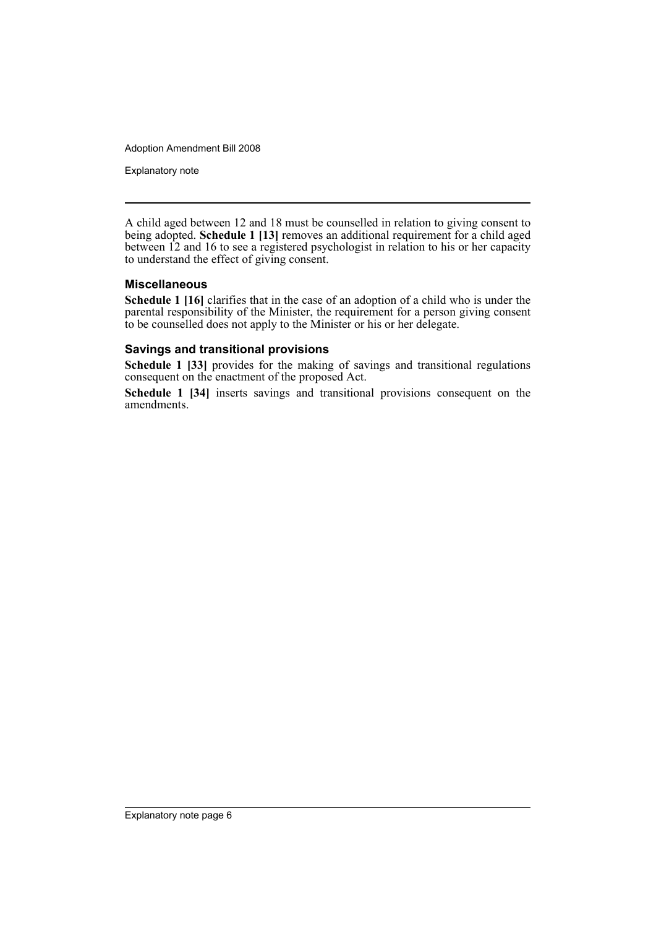Explanatory note

A child aged between 12 and 18 must be counselled in relation to giving consent to being adopted. **Schedule 1 [13]** removes an additional requirement for a child aged between 12 and 16 to see a registered psychologist in relation to his or her capacity to understand the effect of giving consent.

## **Miscellaneous**

**Schedule 1 [16]** clarifies that in the case of an adoption of a child who is under the parental responsibility of the Minister, the requirement for a person giving consent to be counselled does not apply to the Minister or his or her delegate.

## **Savings and transitional provisions**

**Schedule 1 [33]** provides for the making of savings and transitional regulations consequent on the enactment of the proposed Act.

**Schedule 1 [34]** inserts savings and transitional provisions consequent on the amendments.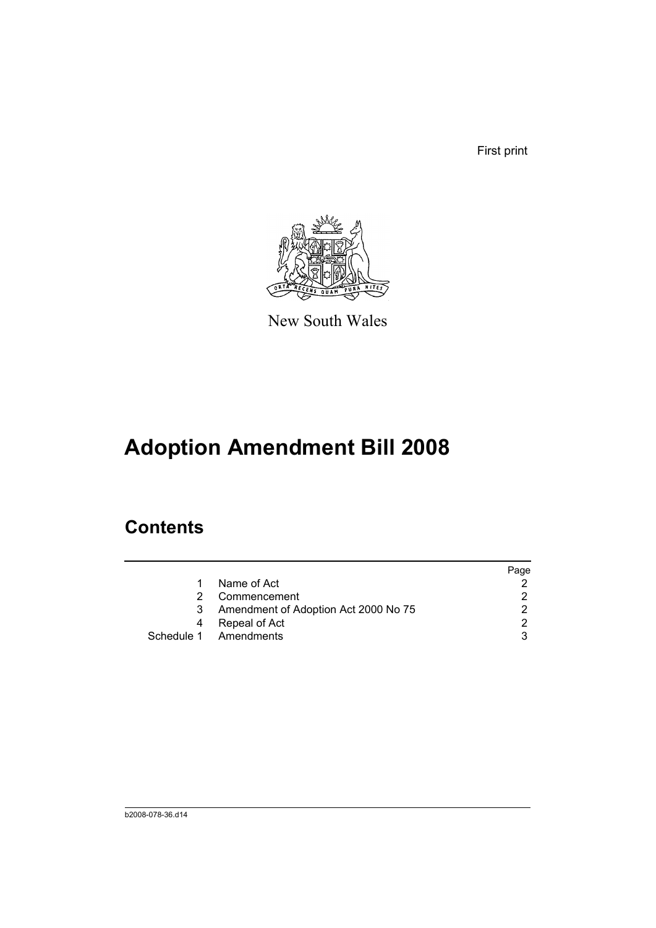First print



New South Wales

# **Adoption Amendment Bill 2008**

# **Contents**

|    |                                      | Page          |
|----|--------------------------------------|---------------|
|    | Name of Act                          |               |
| 2. | Commencement                         | $\mathcal{D}$ |
| 3  | Amendment of Adoption Act 2000 No 75 | 2             |
| 4  | Repeal of Act                        | ົ             |
|    | Schedule 1 Amendments                |               |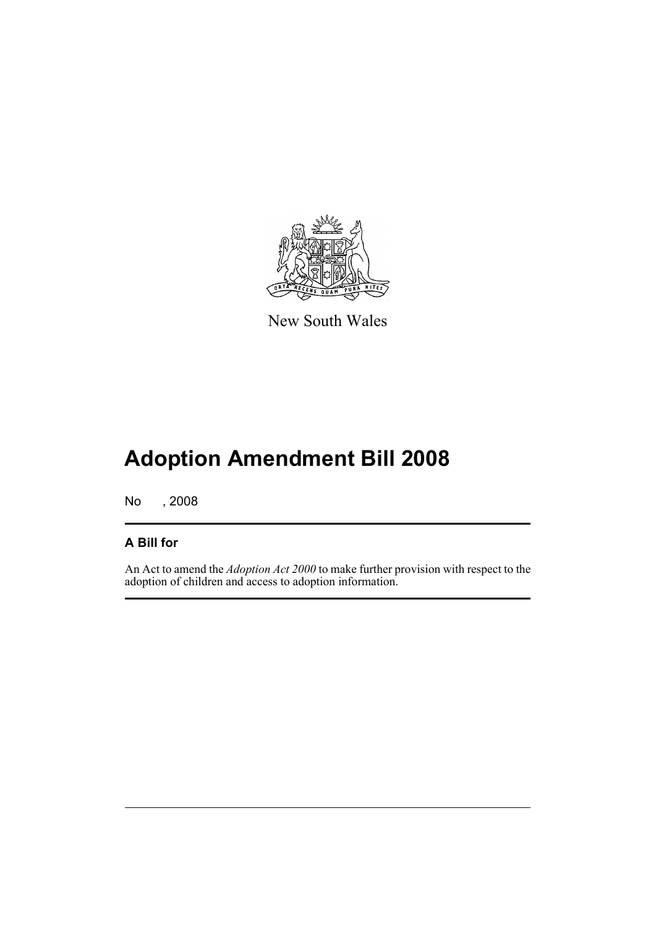

New South Wales

# **Adoption Amendment Bill 2008**

No , 2008

# **A Bill for**

An Act to amend the *Adoption Act 2000* to make further provision with respect to the adoption of children and access to adoption information.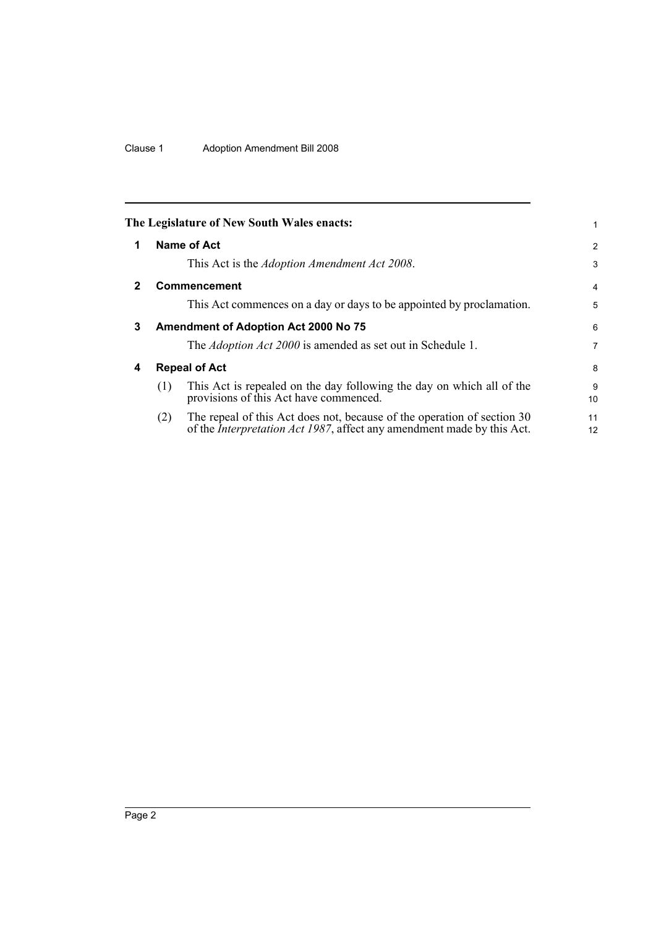## Clause 1 Adoption Amendment Bill 2008

<span id="page-9-3"></span><span id="page-9-2"></span><span id="page-9-1"></span><span id="page-9-0"></span>

|   |     | The Legislature of New South Wales enacts:                                                                                                                | 1              |
|---|-----|-----------------------------------------------------------------------------------------------------------------------------------------------------------|----------------|
| 1 |     | Name of Act                                                                                                                                               | $\overline{2}$ |
|   |     | This Act is the Adoption Amendment Act 2008.                                                                                                              | 3              |
| 2 |     | Commencement                                                                                                                                              | $\overline{4}$ |
|   |     | This Act commences on a day or days to be appointed by proclamation.                                                                                      | 5              |
| 3 |     | <b>Amendment of Adoption Act 2000 No 75</b>                                                                                                               | 6              |
|   |     | The <i>Adoption Act 2000</i> is amended as set out in Schedule 1.                                                                                         | 7              |
| 4 |     | <b>Repeal of Act</b>                                                                                                                                      | 8              |
|   | (1) | This Act is repealed on the day following the day on which all of the<br>provisions of this Act have commenced.                                           | 9<br>10        |
|   | (2) | The repeal of this Act does not, because of the operation of section 30<br>of the <i>Interpretation Act 1987</i> , affect any amendment made by this Act. | 11<br>12       |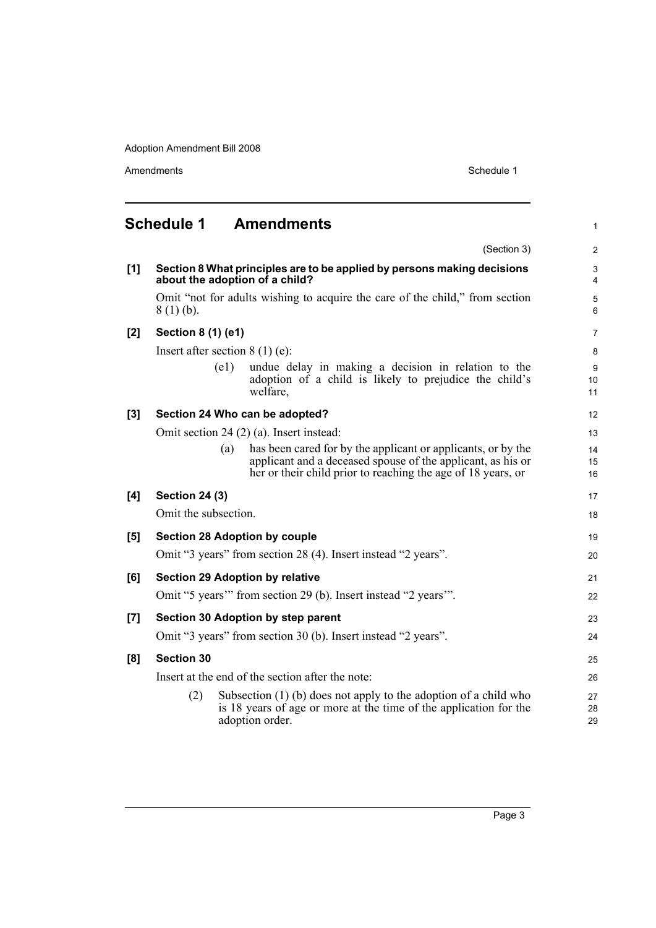<span id="page-10-0"></span>

|     | <b>Schedule 1</b>     | <b>Amendments</b>                                                                                                                                                                                  | 1              |
|-----|-----------------------|----------------------------------------------------------------------------------------------------------------------------------------------------------------------------------------------------|----------------|
|     |                       | (Section 3)                                                                                                                                                                                        | $\overline{c}$ |
| [1] |                       | Section 8 What principles are to be applied by persons making decisions<br>about the adoption of a child?                                                                                          | 3<br>4         |
|     | $8(1)(b)$ .           | Omit "not for adults wishing to acquire the care of the child," from section                                                                                                                       | 5<br>6         |
| [2] | Section 8 (1) (e1)    |                                                                                                                                                                                                    | 7              |
|     |                       | Insert after section $8(1)(e)$ :                                                                                                                                                                   | 8              |
|     |                       | undue delay in making a decision in relation to the<br>(e1)<br>adoption of a child is likely to prejudice the child's<br>welfare.                                                                  | 9<br>10<br>11  |
| [3] |                       | Section 24 Who can be adopted?                                                                                                                                                                     | 12             |
|     |                       | Omit section 24 (2) (a). Insert instead:                                                                                                                                                           | 13             |
|     |                       | has been cared for by the applicant or applicants, or by the<br>(a)<br>applicant and a deceased spouse of the applicant, as his or<br>her or their child prior to reaching the age of 18 years, or | 14<br>15<br>16 |
| [4] | <b>Section 24 (3)</b> |                                                                                                                                                                                                    | 17             |
|     | Omit the subsection.  |                                                                                                                                                                                                    | 18             |
| [5] |                       | <b>Section 28 Adoption by couple</b>                                                                                                                                                               | 19             |
|     |                       | Omit "3 years" from section 28 (4). Insert instead "2 years".                                                                                                                                      | 20             |
| [6] |                       | <b>Section 29 Adoption by relative</b>                                                                                                                                                             | 21             |
|     |                       | Omit "5 years" from section 29 (b). Insert instead "2 years".                                                                                                                                      | 22             |
| [7] |                       | Section 30 Adoption by step parent                                                                                                                                                                 | 23             |
|     |                       | Omit "3 years" from section 30 (b). Insert instead "2 years".                                                                                                                                      | 24             |
| [8] | <b>Section 30</b>     |                                                                                                                                                                                                    | 25             |
|     |                       | Insert at the end of the section after the note:                                                                                                                                                   | 26             |
|     | (2)                   | Subsection $(1)$ (b) does not apply to the adoption of a child who<br>is 18 years of age or more at the time of the application for the<br>adoption order.                                         | 27<br>28<br>29 |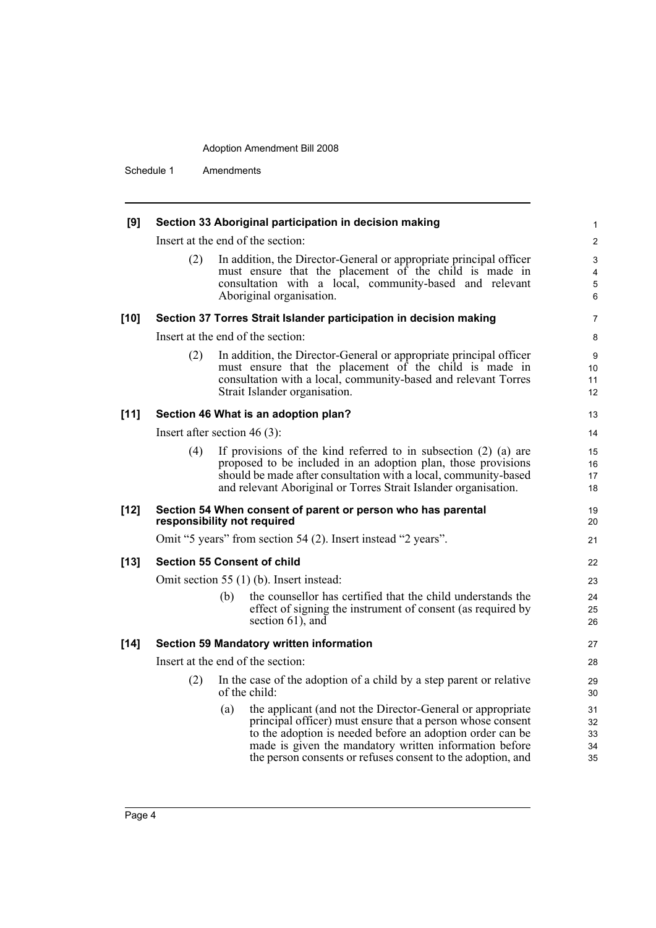Schedule 1 Amendments

| [9]    |                                |     | Section 33 Aboriginal participation in decision making                                                                                                                                                                                                                                                         | 1                          |
|--------|--------------------------------|-----|----------------------------------------------------------------------------------------------------------------------------------------------------------------------------------------------------------------------------------------------------------------------------------------------------------------|----------------------------|
|        |                                |     | Insert at the end of the section:                                                                                                                                                                                                                                                                              | $\overline{\mathbf{c}}$    |
|        | (2)                            |     | In addition, the Director-General or appropriate principal officer<br>must ensure that the placement of the child is made in<br>consultation with a local, community-based and relevant<br>Aboriginal organisation.                                                                                            | 3<br>4<br>5<br>6           |
| $[10]$ |                                |     | Section 37 Torres Strait Islander participation in decision making                                                                                                                                                                                                                                             | 7                          |
|        |                                |     | Insert at the end of the section:                                                                                                                                                                                                                                                                              | 8                          |
|        | (2)                            |     | In addition, the Director-General or appropriate principal officer<br>must ensure that the placement of the child is made in<br>consultation with a local, community-based and relevant Torres<br>Strait Islander organisation.                                                                                | 9<br>10<br>11<br>12        |
| $[11]$ |                                |     | Section 46 What is an adoption plan?                                                                                                                                                                                                                                                                           | 13                         |
|        | Insert after section $46(3)$ : |     |                                                                                                                                                                                                                                                                                                                | 14                         |
|        | (4)                            |     | If provisions of the kind referred to in subsection $(2)$ $(a)$ are<br>proposed to be included in an adoption plan, those provisions<br>should be made after consultation with a local, community-based<br>and relevant Aboriginal or Torres Strait Islander organisation.                                     | 15<br>16<br>17<br>18       |
| $[12]$ | responsibility not required    |     | Section 54 When consent of parent or person who has parental                                                                                                                                                                                                                                                   | 19<br>20                   |
|        |                                |     | Omit "5 years" from section 54 (2). Insert instead "2 years".                                                                                                                                                                                                                                                  | 21                         |
| $[13]$ |                                |     | <b>Section 55 Consent of child</b>                                                                                                                                                                                                                                                                             | 22                         |
|        |                                |     | Omit section 55 (1) (b). Insert instead:                                                                                                                                                                                                                                                                       | 23                         |
|        |                                | (b) | the counsellor has certified that the child understands the<br>effect of signing the instrument of consent (as required by<br>section $61$ , and                                                                                                                                                               | 24<br>25<br>26             |
| $[14]$ |                                |     | <b>Section 59 Mandatory written information</b>                                                                                                                                                                                                                                                                | 27                         |
|        |                                |     | Insert at the end of the section:                                                                                                                                                                                                                                                                              | 28                         |
|        | (2)                            |     | In the case of the adoption of a child by a step parent or relative<br>of the child:                                                                                                                                                                                                                           | 29<br>30                   |
|        |                                | (a) | the applicant (and not the Director-General or appropriate<br>principal officer) must ensure that a person whose consent<br>to the adoption is needed before an adoption order can be<br>made is given the mandatory written information before<br>the person consents or refuses consent to the adoption, and | 31<br>32<br>33<br>34<br>35 |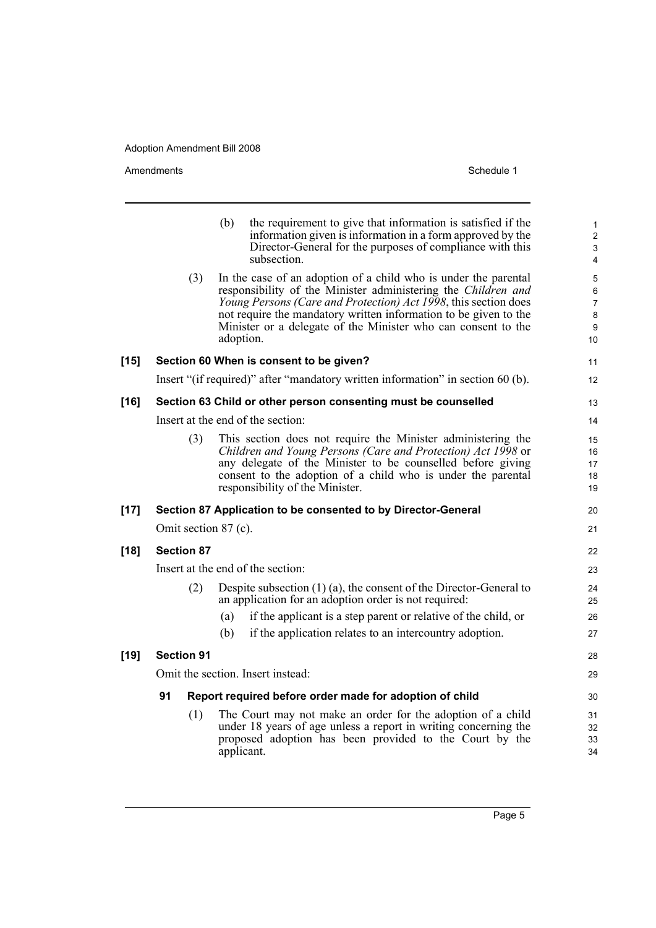|        |                      | (b) | the requirement to give that information is satisfied if the<br>information given is information in a form approved by the<br>Director-General for the purposes of compliance with this<br>subsection.                                                                                                                                                | $\mathbf{1}$<br>$\overline{c}$<br>3<br>4                      |
|--------|----------------------|-----|-------------------------------------------------------------------------------------------------------------------------------------------------------------------------------------------------------------------------------------------------------------------------------------------------------------------------------------------------------|---------------------------------------------------------------|
|        | (3)                  |     | In the case of an adoption of a child who is under the parental<br>responsibility of the Minister administering the Children and<br>Young Persons (Care and Protection) Act 1998, this section does<br>not require the mandatory written information to be given to the<br>Minister or a delegate of the Minister who can consent to the<br>adoption. | 5<br>6<br>$\overline{7}$<br>$\bf 8$<br>$\boldsymbol{9}$<br>10 |
| $[15]$ |                      |     | Section 60 When is consent to be given?                                                                                                                                                                                                                                                                                                               | 11                                                            |
|        |                      |     | Insert "(if required)" after "mandatory written information" in section 60 (b).                                                                                                                                                                                                                                                                       | 12                                                            |
| [16]   |                      |     | Section 63 Child or other person consenting must be counselled                                                                                                                                                                                                                                                                                        | 13                                                            |
|        |                      |     | Insert at the end of the section:                                                                                                                                                                                                                                                                                                                     | 14                                                            |
|        | (3)                  |     | This section does not require the Minister administering the<br>Children and Young Persons (Care and Protection) Act 1998 or<br>any delegate of the Minister to be counselled before giving<br>consent to the adoption of a child who is under the parental<br>responsibility of the Minister.                                                        | 15<br>16<br>17<br>18<br>19                                    |
| $[17]$ |                      |     | Section 87 Application to be consented to by Director-General                                                                                                                                                                                                                                                                                         | 20                                                            |
|        | Omit section 87 (c). |     |                                                                                                                                                                                                                                                                                                                                                       | 21                                                            |
| [18]   | <b>Section 87</b>    |     |                                                                                                                                                                                                                                                                                                                                                       | 22                                                            |
|        |                      |     | Insert at the end of the section:                                                                                                                                                                                                                                                                                                                     | 23                                                            |
|        | (2)                  |     | Despite subsection $(1)$ (a), the consent of the Director-General to<br>an application for an adoption order is not required:                                                                                                                                                                                                                         | 24<br>25                                                      |
|        |                      | (a) | if the applicant is a step parent or relative of the child, or                                                                                                                                                                                                                                                                                        | 26                                                            |
|        |                      | (b) | if the application relates to an intercountry adoption.                                                                                                                                                                                                                                                                                               | 27                                                            |
| [19]   | <b>Section 91</b>    |     |                                                                                                                                                                                                                                                                                                                                                       | 28                                                            |
|        |                      |     | Omit the section. Insert instead:                                                                                                                                                                                                                                                                                                                     | 29                                                            |
|        | 91                   |     | Report required before order made for adoption of child                                                                                                                                                                                                                                                                                               | 30                                                            |
|        | (1)                  |     | The Court may not make an order for the adoption of a child<br>under 18 years of age unless a report in writing concerning the<br>proposed adoption has been provided to the Court by the<br>applicant.                                                                                                                                               | 31<br>32<br>33<br>34                                          |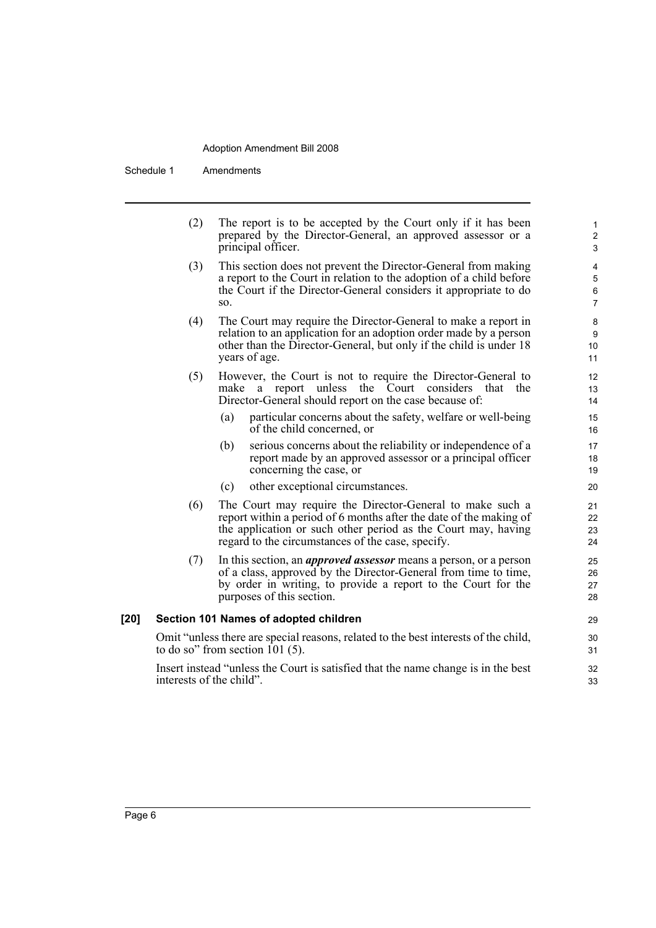Schedule 1 Amendments

|        | (2)                                                                                                                       | The report is to be accepted by the Court only if it has been<br>prepared by the Director-General, an approved assessor or a<br>principal officer.                                                                                                    | $\mathbf{1}$<br>$\overline{c}$<br>3                           |
|--------|---------------------------------------------------------------------------------------------------------------------------|-------------------------------------------------------------------------------------------------------------------------------------------------------------------------------------------------------------------------------------------------------|---------------------------------------------------------------|
|        | (3)                                                                                                                       | This section does not prevent the Director-General from making<br>a report to the Court in relation to the adoption of a child before<br>the Court if the Director-General considers it appropriate to do<br>SO.                                      | $\overline{\mathbf{4}}$<br>$\mathbf 5$<br>6<br>$\overline{7}$ |
|        | (4)                                                                                                                       | The Court may require the Director-General to make a report in<br>relation to an application for an adoption order made by a person<br>other than the Director-General, but only if the child is under 18<br>years of age.                            | 8<br>$\boldsymbol{9}$<br>10<br>11                             |
|        | (5)                                                                                                                       | However, the Court is not to require the Director-General to<br>make<br>report unless the Court considers that the<br>a<br>Director-General should report on the case because of:                                                                     | 12<br>13<br>14                                                |
|        |                                                                                                                           | (a)<br>particular concerns about the safety, welfare or well-being<br>of the child concerned, or                                                                                                                                                      | 15<br>16                                                      |
|        |                                                                                                                           | serious concerns about the reliability or independence of a<br>(b)<br>report made by an approved assessor or a principal officer<br>concerning the case, or                                                                                           | 17<br>18<br>19                                                |
|        |                                                                                                                           | other exceptional circumstances.<br>(c)                                                                                                                                                                                                               | 20                                                            |
|        | (6)                                                                                                                       | The Court may require the Director-General to make such a<br>report within a period of 6 months after the date of the making of<br>the application or such other period as the Court may, having<br>regard to the circumstances of the case, specify. | 21<br>22<br>23<br>24                                          |
|        | (7)                                                                                                                       | In this section, an <i>approved assessor</i> means a person, or a person<br>of a class, approved by the Director-General from time to time,<br>by order in writing, to provide a report to the Court for the<br>purposes of this section.             | 25<br>26<br>27<br>28                                          |
| $[20]$ |                                                                                                                           | Section 101 Names of adopted children                                                                                                                                                                                                                 | 29                                                            |
|        | Omit "unless there are special reasons, related to the best interests of the child,<br>to do so" from section 101 $(5)$ . |                                                                                                                                                                                                                                                       |                                                               |
|        | interests of the child".                                                                                                  | Insert instead "unless the Court is satisfied that the name change is in the best                                                                                                                                                                     | 32<br>33                                                      |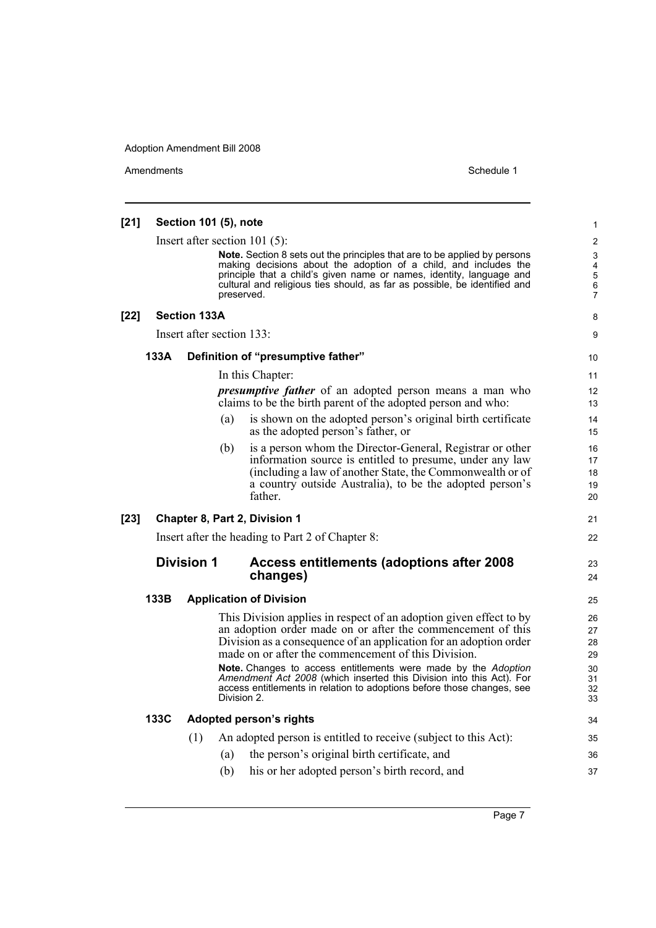| [21]   |      | Section 101 (5), note            |                                                                                                                                                                                                                                                                                                                                                                                                                                                                                   | 1                                            |
|--------|------|----------------------------------|-----------------------------------------------------------------------------------------------------------------------------------------------------------------------------------------------------------------------------------------------------------------------------------------------------------------------------------------------------------------------------------------------------------------------------------------------------------------------------------|----------------------------------------------|
|        |      | Insert after section 101 $(5)$ : | <b>Note.</b> Section 8 sets out the principles that are to be applied by persons<br>making decisions about the adoption of a child, and includes the<br>principle that a child's given name or names, identity, language and<br>cultural and religious ties should, as far as possible, be identified and<br>preserved.                                                                                                                                                           | $\overline{c}$<br>3<br>4<br>5<br>6<br>7      |
| $[22]$ |      | <b>Section 133A</b>              |                                                                                                                                                                                                                                                                                                                                                                                                                                                                                   | 8                                            |
|        |      | Insert after section 133:        |                                                                                                                                                                                                                                                                                                                                                                                                                                                                                   | 9                                            |
|        | 133A |                                  | Definition of "presumptive father"                                                                                                                                                                                                                                                                                                                                                                                                                                                | 10                                           |
|        |      |                                  | In this Chapter:                                                                                                                                                                                                                                                                                                                                                                                                                                                                  | 11                                           |
|        |      |                                  | <i>presumptive father</i> of an adopted person means a man who<br>claims to be the birth parent of the adopted person and who:                                                                                                                                                                                                                                                                                                                                                    | 12<br>13                                     |
|        |      | (a)                              | is shown on the adopted person's original birth certificate<br>as the adopted person's father, or                                                                                                                                                                                                                                                                                                                                                                                 | 14<br>15                                     |
|        |      | (b)                              | is a person whom the Director-General, Registrar or other<br>information source is entitled to presume, under any law<br>(including a law of another State, the Commonwealth or of<br>a country outside Australia), to be the adopted person's<br>father.                                                                                                                                                                                                                         | 16<br>17<br>18<br>19<br>20                   |
| $[23]$ |      |                                  | Chapter 8, Part 2, Division 1                                                                                                                                                                                                                                                                                                                                                                                                                                                     | 21                                           |
|        |      |                                  | Insert after the heading to Part 2 of Chapter 8:                                                                                                                                                                                                                                                                                                                                                                                                                                  | 22                                           |
|        |      | <b>Division 1</b>                | Access entitlements (adoptions after 2008<br>changes)                                                                                                                                                                                                                                                                                                                                                                                                                             | 23<br>24                                     |
|        | 133B |                                  | <b>Application of Division</b>                                                                                                                                                                                                                                                                                                                                                                                                                                                    | 25                                           |
|        |      | Division 2.                      | This Division applies in respect of an adoption given effect to by<br>an adoption order made on or after the commencement of this<br>Division as a consequence of an application for an adoption order<br>made on or after the commencement of this Division.<br>Note. Changes to access entitlements were made by the Adoption<br>Amendment Act 2008 (which inserted this Division into this Act). For<br>access entitlements in relation to adoptions before those changes, see | 26<br>27<br>28<br>29<br>30<br>31<br>32<br>33 |
|        | 133C |                                  | Adopted person's rights                                                                                                                                                                                                                                                                                                                                                                                                                                                           | 34                                           |
|        |      | (1)                              | An adopted person is entitled to receive (subject to this Act):                                                                                                                                                                                                                                                                                                                                                                                                                   | 35                                           |
|        |      | (a)                              | the person's original birth certificate, and                                                                                                                                                                                                                                                                                                                                                                                                                                      | 36                                           |
|        |      | (b)                              | his or her adopted person's birth record, and                                                                                                                                                                                                                                                                                                                                                                                                                                     | 37                                           |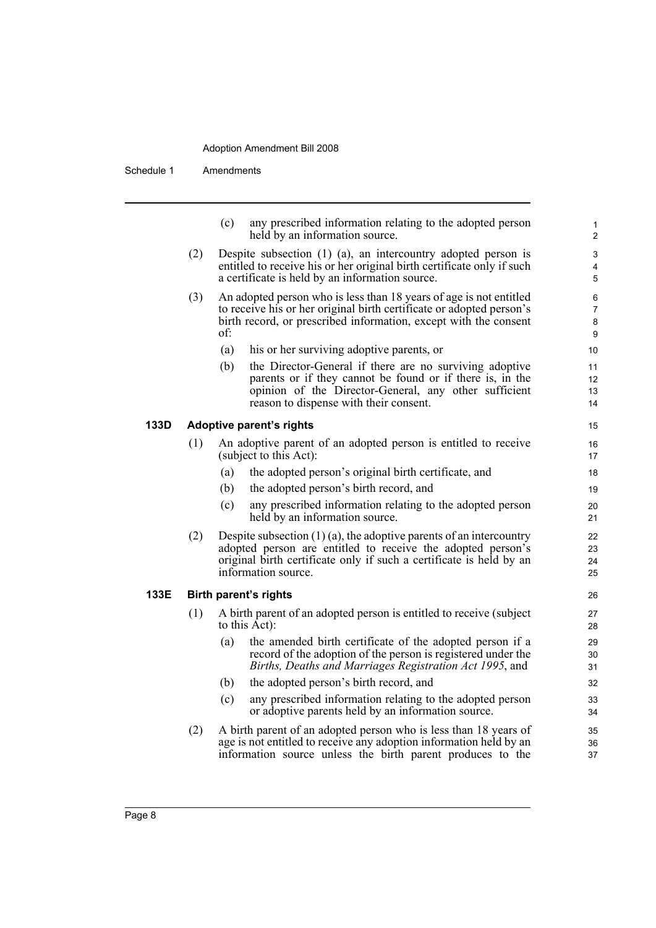Schedule 1 Amendments

| (c) | any prescribed information relating to the adopted person |  |
|-----|-----------------------------------------------------------|--|
|     | held by an information source.                            |  |

- (2) Despite subsection (1) (a), an intercountry adopted person is entitled to receive his or her original birth certificate only if such a certificate is held by an information source.
- (3) An adopted person who is less than 18 years of age is not entitled to receive his or her original birth certificate or adopted person's birth record, or prescribed information, except with the consent of:
	- (a) his or her surviving adoptive parents, or
	- (b) the Director-General if there are no surviving adoptive parents or if they cannot be found or if there is, in the opinion of the Director-General, any other sufficient reason to dispense with their consent.

#### **133D Adoptive parent's rights**

- (1) An adoptive parent of an adopted person is entitled to receive (subject to this Act):
	- (a) the adopted person's original birth certificate, and
	- (b) the adopted person's birth record, and
	- (c) any prescribed information relating to the adopted person held by an information source.
- (2) Despite subsection  $(1)$  (a), the adoptive parents of an intercountry adopted person are entitled to receive the adopted person's original birth certificate only if such a certificate is held by an information source.

#### **133E Birth parent's rights**

- (1) A birth parent of an adopted person is entitled to receive (subject to this  $\vec{A}ct$ :
	- (a) the amended birth certificate of the adopted person if a record of the adoption of the person is registered under the *Births, Deaths and Marriages Registration Act 1995*, and
	- (b) the adopted person's birth record, and
	- (c) any prescribed information relating to the adopted person or adoptive parents held by an information source.
- (2) A birth parent of an adopted person who is less than 18 years of age is not entitled to receive any adoption information held by an information source unless the birth parent produces to the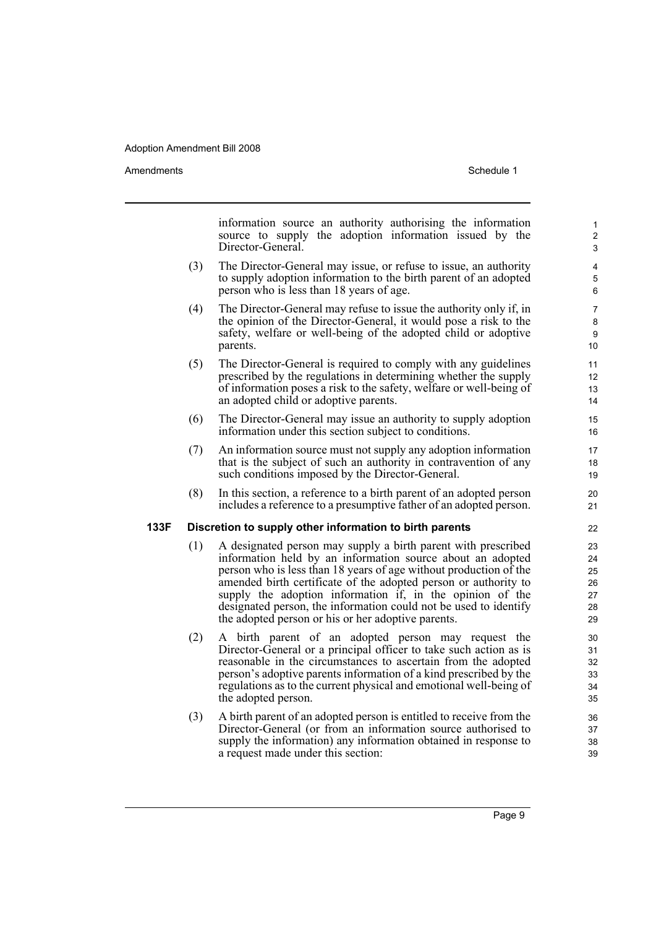Amendments **Amendments** Schedule 1

information source an authority authorising the information source to supply the adoption information issued by the Director-General. (3) The Director-General may issue, or refuse to issue, an authority to supply adoption information to the birth parent of an adopted person who is less than 18 years of age. (4) The Director-General may refuse to issue the authority only if, in the opinion of the Director-General, it would pose a risk to the safety, welfare or well-being of the adopted child or adoptive parents. (5) The Director-General is required to comply with any guidelines prescribed by the regulations in determining whether the supply of information poses a risk to the safety, welfare or well-being of an adopted child or adoptive parents. (6) The Director-General may issue an authority to supply adoption information under this section subject to conditions. (7) An information source must not supply any adoption information that is the subject of such an authority in contravention of any such conditions imposed by the Director-General. (8) In this section, a reference to a birth parent of an adopted person includes a reference to a presumptive father of an adopted person. **133F Discretion to supply other information to birth parents** (1) A designated person may supply a birth parent with prescribed information held by an information source about an adopted person who is less than 18 years of age without production of the amended birth certificate of the adopted person or authority to supply the adoption information if, in the opinion of the designated person, the information could not be used to identify the adopted person or his or her adoptive parents. (2) A birth parent of an adopted person may request the Director-General or a principal officer to take such action as is reasonable in the circumstances to ascertain from the adopted person's adoptive parents information of a kind prescribed by the regulations as to the current physical and emotional well-being of the adopted person. (3) A birth parent of an adopted person is entitled to receive from the 1 2 3 4 5 6 7 8 9 10 11 12 13 14 15 16 17 18 19  $20$ 21  $22$  $23$ 24 25 26 27 28 29 30 31 32 33 34 35 36 37

Director-General (or from an information source authorised to supply the information) any information obtained in response to a request made under this section:

Page 9

38 39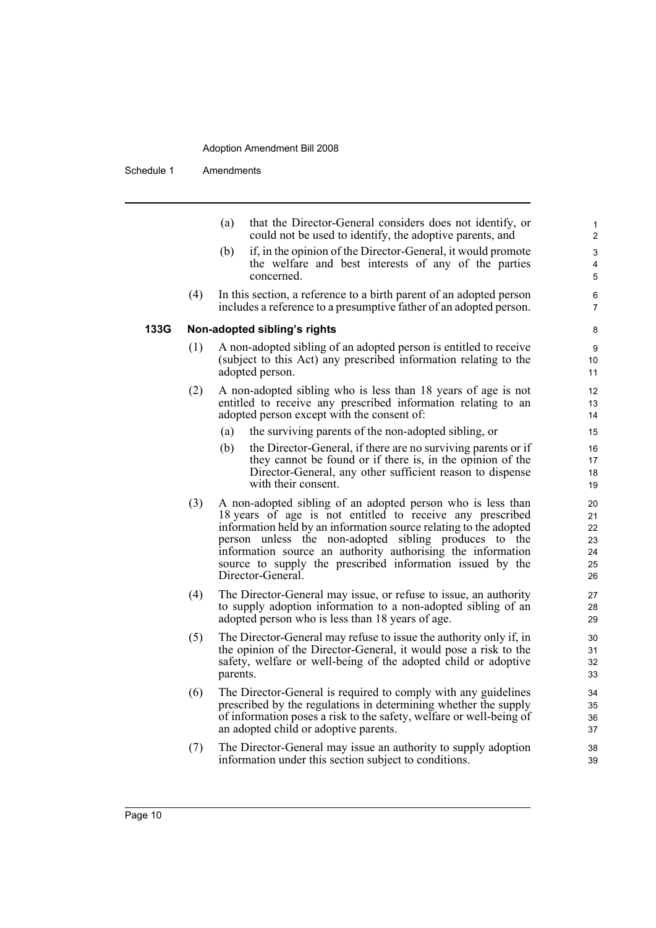Schedule 1 Amendments

(a) that the Director-General considers does not identify, or could not be used to identify, the adoptive parents, and

- (b) if, in the opinion of the Director-General, it would promote the welfare and best interests of any of the parties concerned.
- (4) In this section, a reference to a birth parent of an adopted person includes a reference to a presumptive father of an adopted person.

#### **133G Non-adopted sibling's rights**

- (1) A non-adopted sibling of an adopted person is entitled to receive (subject to this Act) any prescribed information relating to the adopted person.
- (2) A non-adopted sibling who is less than 18 years of age is not entitled to receive any prescribed information relating to an adopted person except with the consent of:
	- (a) the surviving parents of the non-adopted sibling, or
	- (b) the Director-General, if there are no surviving parents or if they cannot be found or if there is, in the opinion of the Director-General, any other sufficient reason to dispense with their consent.
- (3) A non-adopted sibling of an adopted person who is less than 18 years of age is not entitled to receive any prescribed information held by an information source relating to the adopted person unless the non-adopted sibling produces to the information source an authority authorising the information source to supply the prescribed information issued by the Director-General.
- (4) The Director-General may issue, or refuse to issue, an authority to supply adoption information to a non-adopted sibling of an adopted person who is less than 18 years of age.
- (5) The Director-General may refuse to issue the authority only if, in the opinion of the Director-General, it would pose a risk to the safety, welfare or well-being of the adopted child or adoptive parents.
- (6) The Director-General is required to comply with any guidelines prescribed by the regulations in determining whether the supply of information poses a risk to the safety, welfare or well-being of an adopted child or adoptive parents.
- (7) The Director-General may issue an authority to supply adoption information under this section subject to conditions.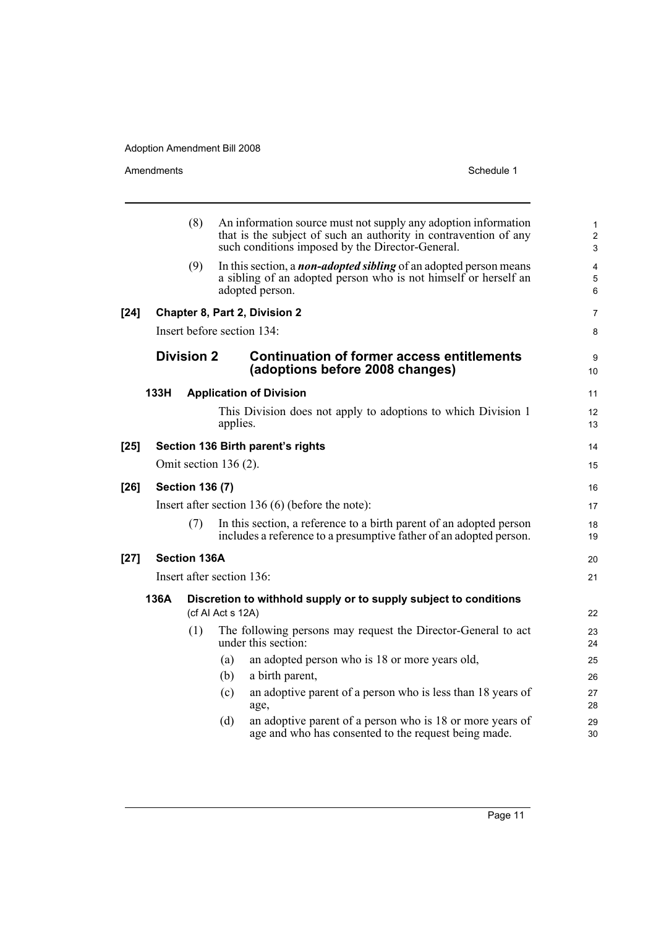|        |      | (8)                    |                           | An information source must not supply any adoption information<br>that is the subject of such an authority in contravention of any<br>such conditions imposed by the Director-General. | 1<br>$\overline{c}$<br>3 |
|--------|------|------------------------|---------------------------|----------------------------------------------------------------------------------------------------------------------------------------------------------------------------------------|--------------------------|
|        |      | (9)                    |                           | In this section, a <i>non-adopted sibling</i> of an adopted person means<br>a sibling of an adopted person who is not himself or herself an<br>adopted person.                         | 4<br>5<br>6              |
| $[24]$ |      |                        |                           | Chapter 8, Part 2, Division 2                                                                                                                                                          | 7                        |
|        |      |                        |                           | Insert before section 134:                                                                                                                                                             | 8                        |
|        |      | <b>Division 2</b>      |                           | <b>Continuation of former access entitlements</b><br>(adoptions before 2008 changes)                                                                                                   | 9<br>10                  |
|        | 133H |                        |                           | <b>Application of Division</b>                                                                                                                                                         | 11                       |
|        |      |                        | applies.                  | This Division does not apply to adoptions to which Division 1                                                                                                                          | 12<br>13                 |
| $[25]$ |      |                        |                           | Section 136 Birth parent's rights                                                                                                                                                      | 14                       |
|        |      |                        | Omit section $136(2)$ .   |                                                                                                                                                                                        | 15                       |
| $[26]$ |      | <b>Section 136 (7)</b> |                           |                                                                                                                                                                                        | 16                       |
|        |      |                        |                           | Insert after section 136 $(6)$ (before the note):                                                                                                                                      | 17                       |
|        |      | (7)                    |                           | In this section, a reference to a birth parent of an adopted person<br>includes a reference to a presumptive father of an adopted person.                                              | 18<br>19                 |
| $[27]$ |      | <b>Section 136A</b>    |                           |                                                                                                                                                                                        | 20                       |
|        |      |                        | Insert after section 136: |                                                                                                                                                                                        | 21                       |
|        | 136A |                        | (cf Al Act s 12A)         | Discretion to withhold supply or to supply subject to conditions                                                                                                                       | 22                       |
|        |      | (1)                    |                           | The following persons may request the Director-General to act<br>under this section:                                                                                                   | 23<br>24                 |
|        |      |                        | (a)                       | an adopted person who is 18 or more years old,                                                                                                                                         | 25                       |
|        |      |                        | (b)                       | a birth parent,                                                                                                                                                                        | 26                       |
|        |      |                        | (c)                       | an adoptive parent of a person who is less than 18 years of<br>age,                                                                                                                    | 27<br>28                 |
|        |      |                        | (d)                       | an adoptive parent of a person who is 18 or more years of<br>age and who has consented to the request being made.                                                                      | 29<br>30                 |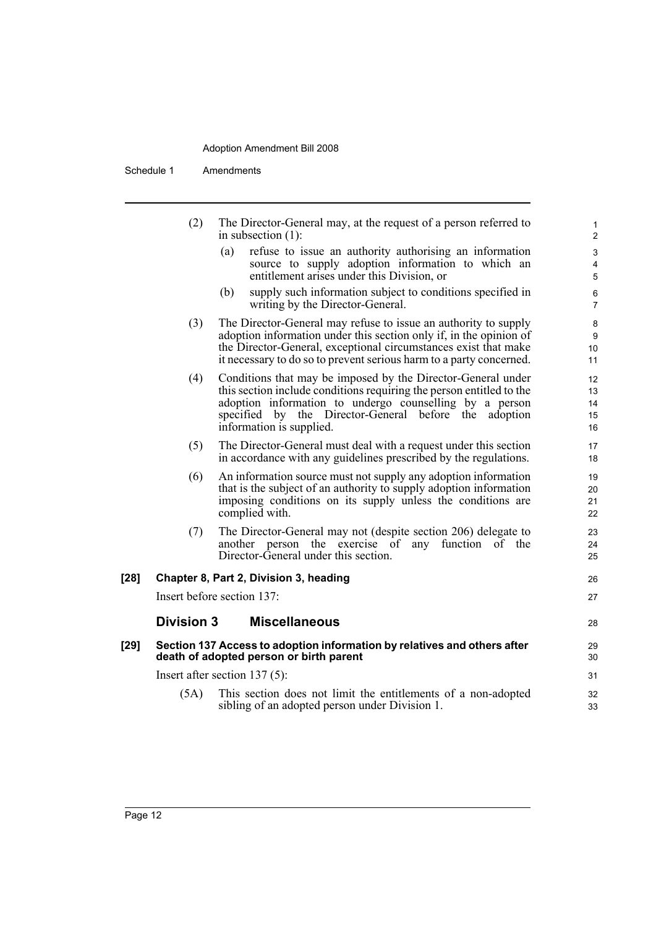Schedule 1 Amendments

|        | (2)               | The Director-General may, at the request of a person referred to<br>in subsection $(1)$ :                                                                                                                                                                                            | $\mathbf{1}$<br>$\overline{2}$            |
|--------|-------------------|--------------------------------------------------------------------------------------------------------------------------------------------------------------------------------------------------------------------------------------------------------------------------------------|-------------------------------------------|
|        |                   | refuse to issue an authority authorising an information<br>(a)<br>source to supply adoption information to which an<br>entitlement arises under this Division, or                                                                                                                    | 3<br>$\overline{4}$<br>5                  |
|        |                   | supply such information subject to conditions specified in<br>(b)<br>writing by the Director-General.                                                                                                                                                                                | 6<br>$\overline{7}$                       |
|        | (3)               | The Director-General may refuse to issue an authority to supply<br>adoption information under this section only if, in the opinion of<br>the Director-General, exceptional circumstances exist that make<br>it necessary to do so to prevent serious harm to a party concerned.      | 8<br>9<br>10<br>11                        |
|        | (4)               | Conditions that may be imposed by the Director-General under<br>this section include conditions requiring the person entitled to the<br>adoption information to undergo counselling by a person<br>specified by the Director-General before the adoption<br>information is supplied. | $12 \overline{ }$<br>13<br>14<br>15<br>16 |
|        | (5)               | The Director-General must deal with a request under this section<br>in accordance with any guidelines prescribed by the regulations.                                                                                                                                                 | 17<br>18                                  |
|        | (6)               | An information source must not supply any adoption information<br>that is the subject of an authority to supply adoption information<br>imposing conditions on its supply unless the conditions are<br>complied with.                                                                | 19<br>20<br>21<br>22                      |
|        | (7)               | The Director-General may not (despite section 206) delegate to<br>another person the exercise of any<br>function of the<br>Director-General under this section.                                                                                                                      | 23<br>24<br>25                            |
| $[28]$ |                   | Chapter 8, Part 2, Division 3, heading                                                                                                                                                                                                                                               | 26                                        |
|        |                   | Insert before section 137:                                                                                                                                                                                                                                                           | 27                                        |
|        | <b>Division 3</b> | <b>Miscellaneous</b>                                                                                                                                                                                                                                                                 | 28                                        |
| [29]   |                   | Section 137 Access to adoption information by relatives and others after<br>death of adopted person or birth parent                                                                                                                                                                  | 29<br>30                                  |
|        |                   | Insert after section $137(5)$ :                                                                                                                                                                                                                                                      | 31                                        |
|        | (5A)              | This section does not limit the entitlements of a non-adopted<br>sibling of an adopted person under Division 1.                                                                                                                                                                      | 32<br>33                                  |
|        |                   |                                                                                                                                                                                                                                                                                      |                                           |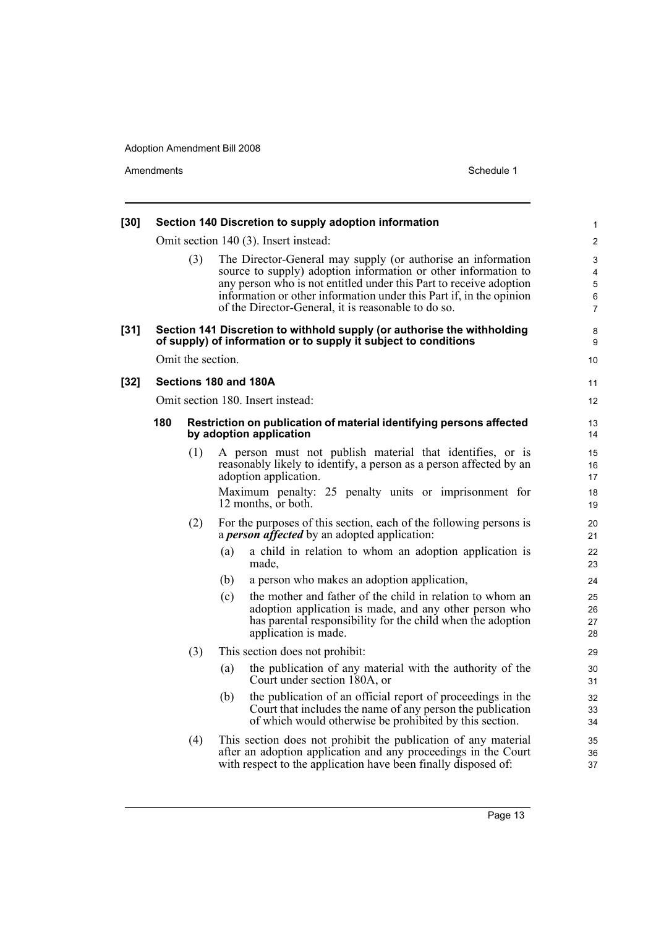| $[30]$ |     |                   | Section 140 Discretion to supply adoption information                                                                                                                                                                                                                                                                              | 1                                  |
|--------|-----|-------------------|------------------------------------------------------------------------------------------------------------------------------------------------------------------------------------------------------------------------------------------------------------------------------------------------------------------------------------|------------------------------------|
|        |     |                   | Omit section 140 (3). Insert instead:                                                                                                                                                                                                                                                                                              | $\overline{c}$                     |
|        |     | (3)               | The Director-General may supply (or authorise an information<br>source to supply) adoption information or other information to<br>any person who is not entitled under this Part to receive adoption<br>information or other information under this Part if, in the opinion<br>of the Director-General, it is reasonable to do so. | 3<br>4<br>5<br>6<br>$\overline{7}$ |
| $[31]$ |     |                   | Section 141 Discretion to withhold supply (or authorise the withholding<br>of supply) of information or to supply it subject to conditions                                                                                                                                                                                         | 8<br>9                             |
|        |     | Omit the section. |                                                                                                                                                                                                                                                                                                                                    | 10                                 |
| $[32]$ |     |                   | Sections 180 and 180A                                                                                                                                                                                                                                                                                                              | 11                                 |
|        |     |                   | Omit section 180. Insert instead:                                                                                                                                                                                                                                                                                                  | 12                                 |
|        | 180 |                   | Restriction on publication of material identifying persons affected<br>by adoption application                                                                                                                                                                                                                                     | 13<br>14                           |
|        |     | (1)               | A person must not publish material that identifies, or is<br>reasonably likely to identify, a person as a person affected by an<br>adoption application.<br>Maximum penalty: 25 penalty units or imprisonment for<br>12 months, or both.                                                                                           | 15<br>16<br>17<br>18<br>19         |
|        |     | (2)               | For the purposes of this section, each of the following persons is<br>a <i>person affected</i> by an adopted application:                                                                                                                                                                                                          | 20<br>21                           |
|        |     |                   | (a)<br>a child in relation to whom an adoption application is<br>made,                                                                                                                                                                                                                                                             | 22<br>23                           |
|        |     |                   | (b)<br>a person who makes an adoption application,                                                                                                                                                                                                                                                                                 | 24                                 |
|        |     |                   | the mother and father of the child in relation to whom an<br>(c)<br>adoption application is made, and any other person who<br>has parental responsibility for the child when the adoption<br>application is made.                                                                                                                  | 25<br>26<br>27<br>28               |
|        |     | (3)               | This section does not prohibit:                                                                                                                                                                                                                                                                                                    | 29                                 |
|        |     |                   | the publication of any material with the authority of the<br>(a)<br>Court under section 180A, or                                                                                                                                                                                                                                   | 30<br>31                           |
|        |     |                   | the publication of an official report of proceedings in the<br>(b)<br>Court that includes the name of any person the publication<br>of which would otherwise be prohibited by this section.                                                                                                                                        | 32<br>33<br>34                     |
|        |     | (4)               | This section does not prohibit the publication of any material<br>after an adoption application and any proceedings in the Court<br>with respect to the application have been finally disposed of:                                                                                                                                 | 35<br>36<br>37                     |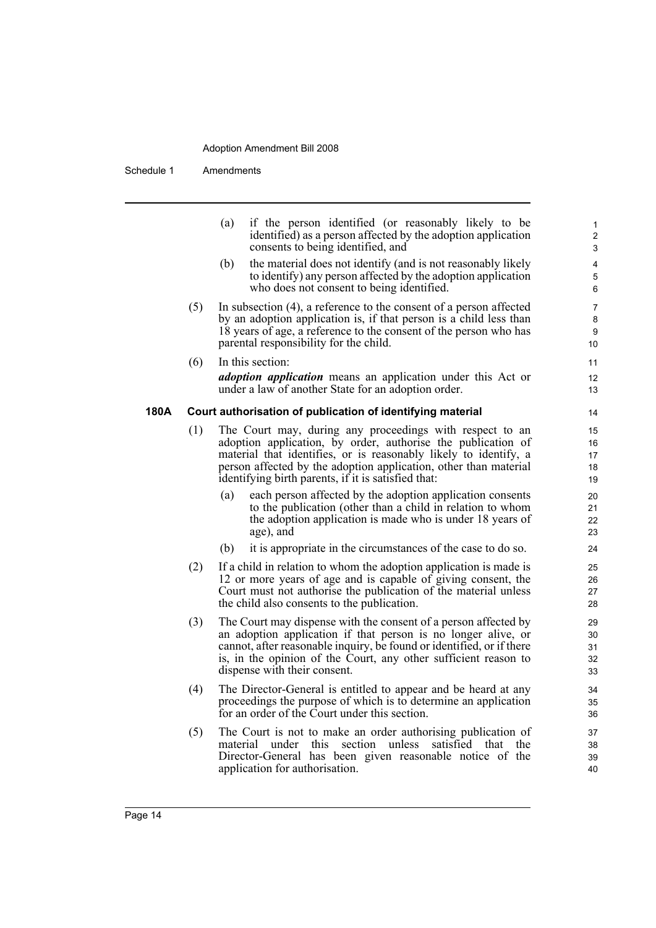Schedule 1 Amendments

|      |     | (a)<br>if the person identified (or reasonably likely to be<br>identified) as a person affected by the adoption application<br>consents to being identified, and                                                                                                                                                        | 1<br>$\overline{c}$<br>3         |
|------|-----|-------------------------------------------------------------------------------------------------------------------------------------------------------------------------------------------------------------------------------------------------------------------------------------------------------------------------|----------------------------------|
|      |     | (b)<br>the material does not identify (and is not reasonably likely<br>to identify) any person affected by the adoption application<br>who does not consent to being identified.                                                                                                                                        | 4<br>5<br>6                      |
|      | (5) | In subsection $(4)$ , a reference to the consent of a person affected<br>by an adoption application is, if that person is a child less than<br>18 years of age, a reference to the consent of the person who has<br>parental responsibility for the child.                                                              | $\boldsymbol{7}$<br>8<br>9<br>10 |
|      | (6) | In this section:<br><i>adoption application</i> means an application under this Act or<br>under a law of another State for an adoption order.                                                                                                                                                                           | 11<br>12<br>13                   |
| 180A |     | Court authorisation of publication of identifying material                                                                                                                                                                                                                                                              | 14                               |
|      | (1) | The Court may, during any proceedings with respect to an<br>adoption application, by order, authorise the publication of<br>material that identifies, or is reasonably likely to identify, a<br>person affected by the adoption application, other than material<br>identifying birth parents, if it is satisfied that: | 15<br>16<br>17<br>18<br>19       |
|      |     | each person affected by the adoption application consents<br>(a)<br>to the publication (other than a child in relation to whom<br>the adoption application is made who is under 18 years of<br>age), and                                                                                                                | 20<br>21<br>22<br>23             |
|      |     | (b)<br>it is appropriate in the circumstances of the case to do so.                                                                                                                                                                                                                                                     | 24                               |
|      | (2) | If a child in relation to whom the adoption application is made is<br>12 or more years of age and is capable of giving consent, the<br>Court must not authorise the publication of the material unless<br>the child also consents to the publication.                                                                   | 25<br>26<br>27<br>28             |
|      | (3) | The Court may dispense with the consent of a person affected by<br>an adoption application if that person is no longer alive, or<br>cannot, after reasonable inquiry, be found or identified, or if there<br>is, in the opinion of the Court, any other sufficient reason to<br>dispense with their consent.            | 29<br>30<br>31<br>32<br>33       |
|      | (4) | The Director-General is entitled to appear and be heard at any<br>proceedings the purpose of which is to determine an application<br>for an order of the Court under this section.                                                                                                                                      | 34<br>35<br>36                   |
|      | (5) | The Court is not to make an order authorising publication of<br>material<br>under this<br>section<br>unless<br>satisfied<br>the<br>that<br>Director-General has been given reasonable notice of the<br>application for authorisation.                                                                                   | 37<br>38<br>39<br>40             |
|      |     |                                                                                                                                                                                                                                                                                                                         |                                  |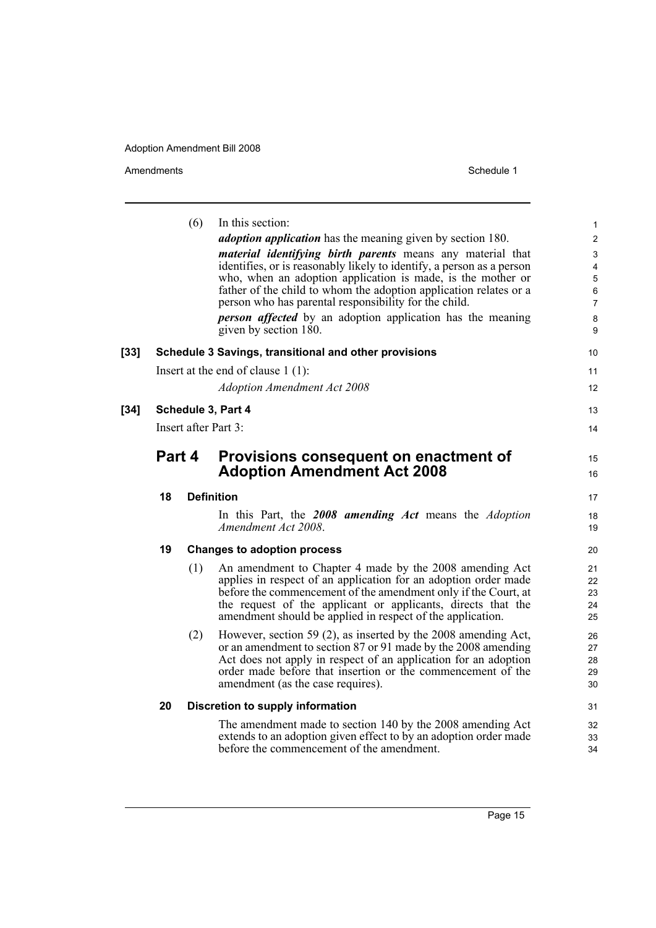|        |                                      | (6) | In this section:                                                                                                           | 1              |
|--------|--------------------------------------|-----|----------------------------------------------------------------------------------------------------------------------------|----------------|
|        |                                      |     | <i>adoption application</i> has the meaning given by section 180.                                                          | $\overline{c}$ |
|        |                                      |     | <i>material identifying birth parents</i> means any material that                                                          | 3              |
|        |                                      |     | identifies, or is reasonably likely to identify, a person as a person                                                      | 4              |
|        |                                      |     | who, when an adoption application is made, is the mother or                                                                | 5              |
|        |                                      |     | father of the child to whom the adoption application relates or a<br>person who has parental responsibility for the child. | 6              |
|        |                                      |     |                                                                                                                            | 7              |
|        |                                      |     | <b>person</b> affected by an adoption application has the meaning<br>given by section 180.                                 | 8<br>9         |
| [33]   |                                      |     | Schedule 3 Savings, transitional and other provisions                                                                      | 10             |
|        |                                      |     |                                                                                                                            |                |
|        | Insert at the end of clause $1(1)$ : |     | 11                                                                                                                         |                |
|        |                                      |     | <b>Adoption Amendment Act 2008</b>                                                                                         | 12             |
| $[34]$ | Schedule 3, Part 4                   |     |                                                                                                                            | 13             |
|        | Insert after Part 3:                 |     |                                                                                                                            | 14             |
|        | Part 4                               |     | Provisions consequent on enactment of                                                                                      | 15             |
|        |                                      |     | <b>Adoption Amendment Act 2008</b>                                                                                         | 16             |
|        | 18                                   |     | <b>Definition</b>                                                                                                          | 17             |
|        |                                      |     | In this Part, the 2008 amending Act means the Adoption<br>Amendment Act 2008.                                              | 18<br>19       |
|        | 19                                   |     | <b>Changes to adoption process</b>                                                                                         | 20             |
|        |                                      | (1) | An amendment to Chapter 4 made by the 2008 amending Act                                                                    | 21             |
|        |                                      |     | applies in respect of an application for an adoption order made                                                            | 22             |
|        |                                      |     | before the commencement of the amendment only if the Court, at                                                             | 23             |
|        |                                      |     | the request of the applicant or applicants, directs that the                                                               | 24             |
|        |                                      |     | amendment should be applied in respect of the application.                                                                 | 25             |
|        |                                      | (2) | However, section 59 (2), as inserted by the 2008 amending Act,                                                             | 26             |
|        |                                      |     | or an amendment to section 87 or 91 made by the 2008 amending                                                              | 27             |
|        |                                      |     | Act does not apply in respect of an application for an adoption                                                            | 28             |
|        |                                      |     | order made before that insertion or the commencement of the<br>amendment (as the case requires).                           | 29<br>30       |
|        | 20                                   |     | Discretion to supply information                                                                                           | 31             |
|        |                                      |     | The amendment made to section 140 by the 2008 amending Act                                                                 | 32             |
|        |                                      |     | extends to an adoption given effect to by an adoption order made                                                           | 33             |
|        |                                      |     | before the commencement of the amendment.                                                                                  | 34             |